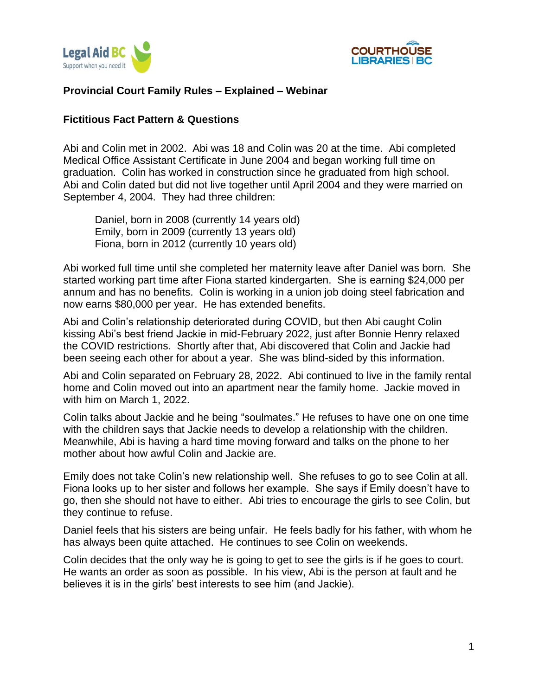



# **Provincial Court Family Rules – Explained – Webinar**

# **Fictitious Fact Pattern & Questions**

Abi and Colin met in 2002. Abi was 18 and Colin was 20 at the time. Abi completed Medical Office Assistant Certificate in June 2004 and began working full time on graduation. Colin has worked in construction since he graduated from high school. Abi and Colin dated but did not live together until April 2004 and they were married on September 4, 2004. They had three children:

Daniel, born in 2008 (currently 14 years old) Emily, born in 2009 (currently 13 years old) Fiona, born in 2012 (currently 10 years old)

Abi worked full time until she completed her maternity leave after Daniel was born. She started working part time after Fiona started kindergarten. She is earning \$24,000 per annum and has no benefits. Colin is working in a union job doing steel fabrication and now earns \$80,000 per year. He has extended benefits.

Abi and Colin's relationship deteriorated during COVID, but then Abi caught Colin kissing Abi's best friend Jackie in mid-February 2022, just after Bonnie Henry relaxed the COVID restrictions. Shortly after that, Abi discovered that Colin and Jackie had been seeing each other for about a year. She was blind-sided by this information.

Abi and Colin separated on February 28, 2022. Abi continued to live in the family rental home and Colin moved out into an apartment near the family home. Jackie moved in with him on March 1, 2022.

Colin talks about Jackie and he being "soulmates." He refuses to have one on one time with the children says that Jackie needs to develop a relationship with the children. Meanwhile, Abi is having a hard time moving forward and talks on the phone to her mother about how awful Colin and Jackie are.

Emily does not take Colin's new relationship well. She refuses to go to see Colin at all. Fiona looks up to her sister and follows her example. She says if Emily doesn't have to go, then she should not have to either. Abi tries to encourage the girls to see Colin, but they continue to refuse.

Daniel feels that his sisters are being unfair. He feels badly for his father, with whom he has always been quite attached. He continues to see Colin on weekends.

Colin decides that the only way he is going to get to see the girls is if he goes to court. He wants an order as soon as possible. In his view, Abi is the person at fault and he believes it is in the girls' best interests to see him (and Jackie).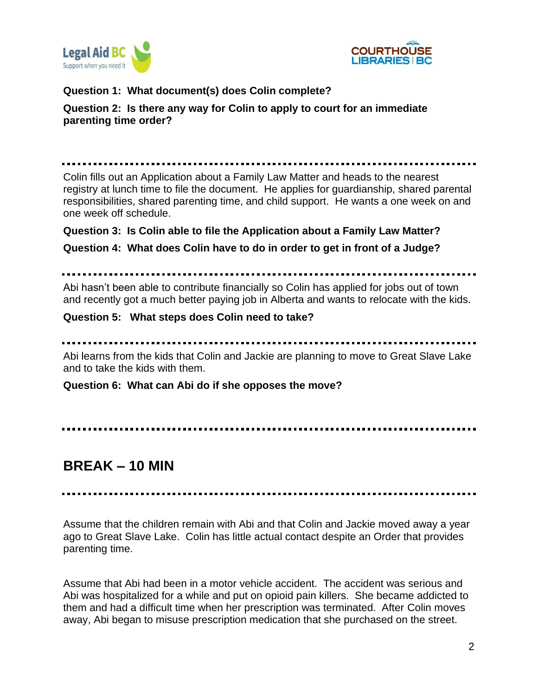



# **Question 1: What document(s) does Colin complete?**

# **Question 2: Is there any way for Colin to apply to court for an immediate parenting time order?**

Colin fills out an Application about a Family Law Matter and heads to the nearest registry at lunch time to file the document. He applies for guardianship, shared parental responsibilities, shared parenting time, and child support. He wants a one week on and one week off schedule.

#### **Question 3: Is Colin able to file the Application about a Family Law Matter?**

**Question 4: What does Colin have to do in order to get in front of a Judge?**

Abi hasn't been able to contribute financially so Colin has applied for jobs out of town and recently got a much better paying job in Alberta and wants to relocate with the kids.

#### **Question 5: What steps does Colin need to take?**

Abi learns from the kids that Colin and Jackie are planning to move to Great Slave Lake and to take the kids with them.

**Question 6: What can Abi do if she opposes the move?**

# **BREAK – 10 MIN**

Assume that the children remain with Abi and that Colin and Jackie moved away a year ago to Great Slave Lake. Colin has little actual contact despite an Order that provides parenting time.

Assume that Abi had been in a motor vehicle accident. The accident was serious and Abi was hospitalized for a while and put on opioid pain killers. She became addicted to them and had a difficult time when her prescription was terminated. After Colin moves away, Abi began to misuse prescription medication that she purchased on the street.